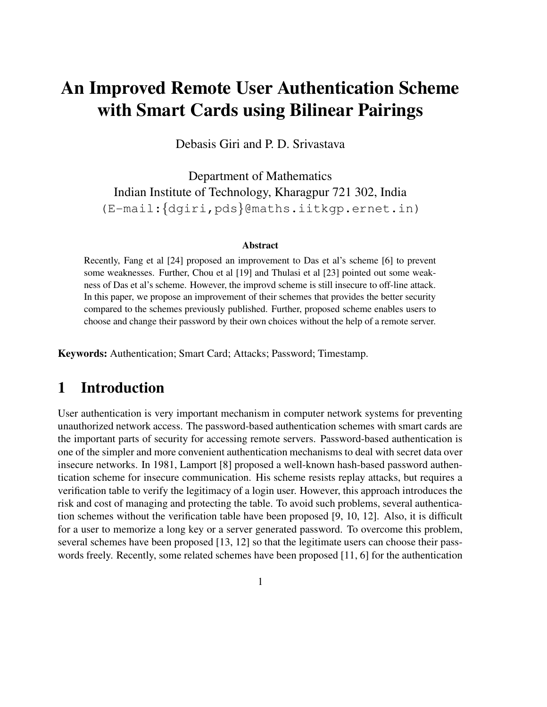# **An Improved Remote User Authentication Scheme with Smart Cards using Bilinear Pairings**

Debasis Giri and P. D. Srivastava

Department of Mathematics Indian Institute of Technology, Kharagpur 721 302, India (E-mail:{dgiri,pds}@maths.iitkgp.ernet.in)

#### **Abstract**

Recently, Fang et al [24] proposed an improvement to Das et al's scheme [6] to prevent some weaknesses. Further, Chou et al [19] and Thulasi et al [23] pointed out some weakness of Das et al's scheme. However, the improvd scheme is still insecure to off-line attack. In this paper, we propose an improvement of their schemes that provides the better security compared to the schemes previously published. Further, proposed scheme enables users to choose and change their password by their own choices without the help of a remote server.

**Keywords:** Authentication; Smart Card; Attacks; Password; Timestamp.

## **1 Introduction**

User authentication is very important mechanism in computer network systems for preventing unauthorized network access. The password-based authentication schemes with smart cards are the important parts of security for accessing remote servers. Password-based authentication is one of the simpler and more convenient authentication mechanisms to deal with secret data over insecure networks. In 1981, Lamport [8] proposed a well-known hash-based password authentication scheme for insecure communication. His scheme resists replay attacks, but requires a verification table to verify the legitimacy of a login user. However, this approach introduces the risk and cost of managing and protecting the table. To avoid such problems, several authentication schemes without the verification table have been proposed [9, 10, 12]. Also, it is difficult for a user to memorize a long key or a server generated password. To overcome this problem, several schemes have been proposed [13, 12] so that the legitimate users can choose their passwords freely. Recently, some related schemes have been proposed [11, 6] for the authentication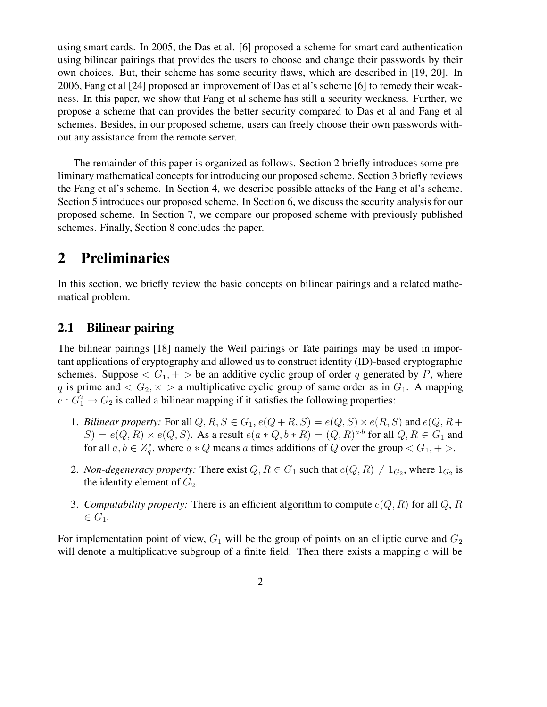using smart cards. In 2005, the Das et al. [6] proposed a scheme for smart card authentication using bilinear pairings that provides the users to choose and change their passwords by their own choices. But, their scheme has some security flaws, which are described in [19, 20]. In 2006, Fang et al [24] proposed an improvement of Das et al's scheme [6] to remedy their weakness. In this paper, we show that Fang et al scheme has still a security weakness. Further, we propose a scheme that can provides the better security compared to Das et al and Fang et al schemes. Besides, in our proposed scheme, users can freely choose their own passwords without any assistance from the remote server.

The remainder of this paper is organized as follows. Section 2 briefly introduces some preliminary mathematical concepts for introducing our proposed scheme. Section 3 briefly reviews the Fang et al's scheme. In Section 4, we describe possible attacks of the Fang et al's scheme. Section 5 introduces our proposed scheme. In Section 6, we discuss the security analysis for our proposed scheme. In Section 7, we compare our proposed scheme with previously published schemes. Finally, Section 8 concludes the paper.

### **2 Preliminaries**

In this section, we briefly review the basic concepts on bilinear pairings and a related mathematical problem.

#### **2.1 Bilinear pairing**

The bilinear pairings [18] namely the Weil pairings or Tate pairings may be used in important applications of cryptography and allowed us to construct identity (ID)-based cryptographic schemes. Suppose  $\langle G_1, + \rangle$  be an additive cyclic group of order q generated by P, where q is prime and  $\langle G_2, \times \rangle$  a multiplicative cyclic group of same order as in  $G_1$ . A mapping  $e: G_1^2 \to G_2$  is called a bilinear mapping if it satisfies the following properties:

- 1. *Bilinear property:* For all  $Q, R, S \in G_1$ ,  $e(Q + R, S) = e(Q, S) \times e(R, S)$  and  $e(Q, R + S)$  $S$ ) =  $e(Q, R) \times e(Q, S)$ . As a result  $e(a * Q, b * R) = (Q, R)^{a \cdot b}$  for all  $Q, R \in G_1$  and for all  $a, b \in Z_a^*$  $_q^*$ , where  $a * Q$  means a times additions of Q over the group  $\lt G_1, +\gt$ .
- 2. *Non-degeneracy property:* There exist  $Q, R \in G_1$  such that  $e(Q, R) \neq 1_{G_2}$ , where  $1_{G_2}$  is the identity element of  $G_2$ .
- 3. *Computability property:* There is an efficient algorithm to compute  $e(Q, R)$  for all  $Q, R$  $\in G_1$ .

For implementation point of view,  $G_1$  will be the group of points on an elliptic curve and  $G_2$ will denote a multiplicative subgroup of a finite field. Then there exists a mapping  $e$  will be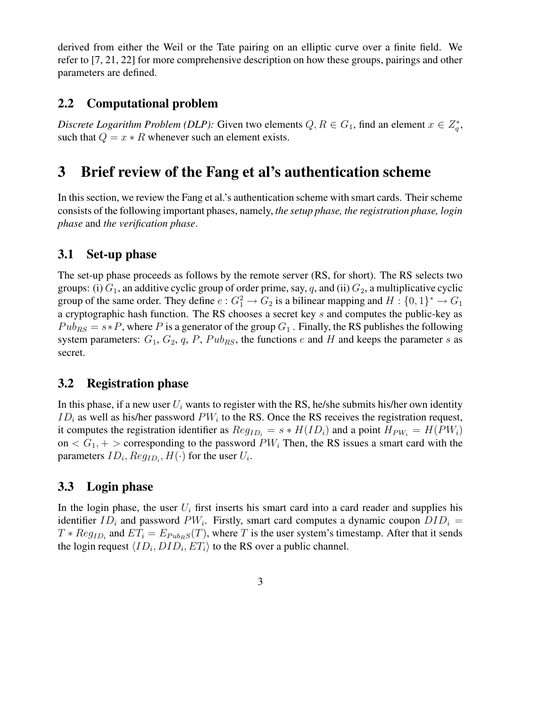derived from either the Weil or the Tate pairing on an elliptic curve over a finite field. We refer to [7, 21, 22] for more comprehensive description on how these groups, pairings and other parameters are defined.

### **2.2 Computational problem**

*Discrete Logarithm Problem (DLP):* Given two elements  $Q, R \in G_1$ , find an element  $x \in Z_q^*$  $_q^*$ such that  $Q = x * R$  whenever such an element exists.

## **3 Brief review of the Fang et al's authentication scheme**

In thissection, we review the Fang et al.'s authentication scheme with smart cards. Their scheme consists of the following important phases, namely, *the setup phase, the registration phase, login phase* and *the verification phase*.

### **3.1 Set-up phase**

The set-up phase proceeds as follows by the remote server (RS, for short). The RS selects two groups: (i)  $G_1$ , an additive cyclic group of order prime, say, q, and (ii)  $G_2$ , a multiplicative cyclic group of the same order. They define  $e: G_1^2 \to G_2$  is a bilinear mapping and  $H: \{0,1\}^* \to G_1$ a cryptographic hash function. The RS chooses a secret key s and computes the public-key as  $Pub_{RS} = s * P$ , where P is a generator of the group  $G_1$ . Finally, the RS publishes the following system parameters:  $G_1$ ,  $G_2$ ,  $q$ ,  $P$ ,  $Pub_{RS}$ , the functions  $e$  and  $H$  and keeps the parameter  $s$  as secret.

#### **3.2 Registration phase**

In this phase, if a new user  $U_i$  wants to register with the RS, he/she submits his/her own identity  $ID_i$  as well as his/her password  $PW_i$  to the RS. Once the RS receives the registration request, it computes the registration identifier as  $Reg_{ID_i} = s * H(ID_i)$  and a point  $H_{PW_i} = H(PW_i)$ on  $\langle G_1, + \rangle$  corresponding to the password  $PW_i$  Then, the RS issues a smart card with the parameters  $ID_i, Reg_{ID_i}, H(\cdot)$  for the user  $U_i$ .

#### **3.3 Login phase**

In the login phase, the user  $U_i$  first inserts his smart card into a card reader and supplies his identifier  $ID_i$  and password  $PW_i$ . Firstly, smart card computes a dynamic coupon  $DID_i$  =  $T * Reg<sub>ID<sub>i</sub></sub>$  and  $ET_i = E<sub>Pub<sub>R</sub></sub>s(T)$ , where T is the user system's timestamp. After that it sends the login request  $\langle ID_i, DID_i, ET_i \rangle$  to the RS over a public channel.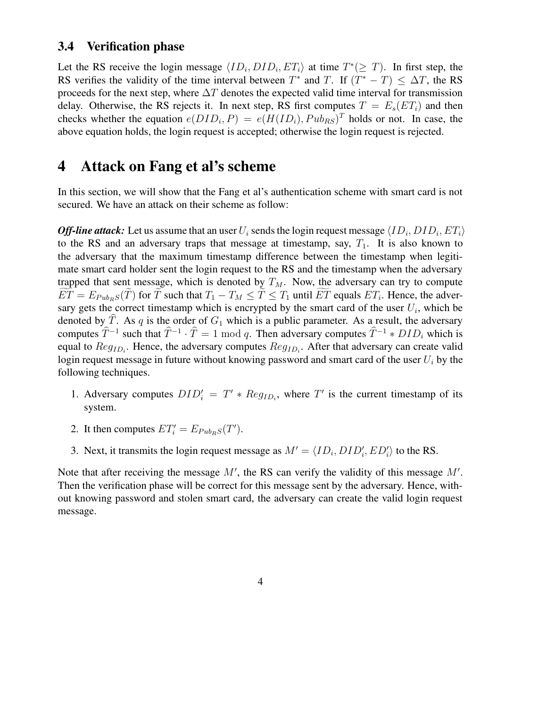#### **3.4 Verification phase**

Let the RS receive the login message  $\langle ID_i, DID_i, ET_i \rangle$  at time  $T^* (\geq T)$ . In first step, the RS verifies the validity of the time interval between  $T^*$  and T. If  $(T^* - T) \leq \Delta T$ , the RS proceeds for the next step, where  $\Delta T$  denotes the expected valid time interval for transmission delay. Otherwise, the RS rejects it. In next step, RS first computes  $T = E_s(E_i)$  and then checks whether the equation  $e(DID_i, P) = e(H(ID_i), Pub_{RS})^T$  holds or not. In case, the above equation holds, the login request is accepted; otherwise the login request is rejected.

### **4 Attack on Fang et al's scheme**

In this section, we will show that the Fang et al's authentication scheme with smart card is not secured. We have an attack on their scheme as follow:

Off-line attack: Let us assume that an user  $U_i$  sends the login request message  $\langle ID_i, DID_i, ET_i \rangle$ to the RS and an adversary traps that message at timestamp, say,  $T_1$ . It is also known to the adversary that the maximum timestamp difference between the timestamp when legitimate smart card holder sent the login request to the RS and the timestamp when the adversary trapped that sent message, which is denoted by  $T_M$ . Now, the adversary can try to compute  $\widetilde{ET} = E_{Pub_{RS}}(\widetilde{T})$  for  $\widetilde{T}$  such that  $T_1 - T_M \leq \widetilde{T} \leq T_1$  until  $\widetilde{ET}$  equals  $ET_i$ . Hence, the adversary gets the correct timestamp which is encrypted by the smart card of the user  $U_i$ , which be denoted by  $\hat{T}$ . As q is the order of  $G_1$  which is a public parameter. As a result, the adversary computes  $\hat{T}^{-1}$  such that  $\hat{T}^{-1} \cdot \hat{T} = 1 \mod q$ . Then adversary computes  $\hat{T}^{-1} * DID_i$  which is equal to  $Reg_{ID_i}$ . Hence, the adversary computes  $Reg_{ID_i}$ . After that adversary can create valid login request message in future without knowing password and smart card of the user  $U_i$  by the following techniques.

- 1. Adversary computes  $DID'_i = T' * Reg_{ID_i}$ , where T' is the current timestamp of its system.
- 2. It then computes  $ET'_i = E_{Pub<sub>R</sub>}S(T')$ .
- 3. Next, it transmits the login request message as  $M' = \langle ID_i, DID'_i, ED'_i \rangle$  to the RS.

Note that after receiving the message  $M'$ , the RS can verify the validity of this message  $M'$ . Then the verification phase will be correct for this message sent by the adversary. Hence, without knowing password and stolen smart card, the adversary can create the valid login request message.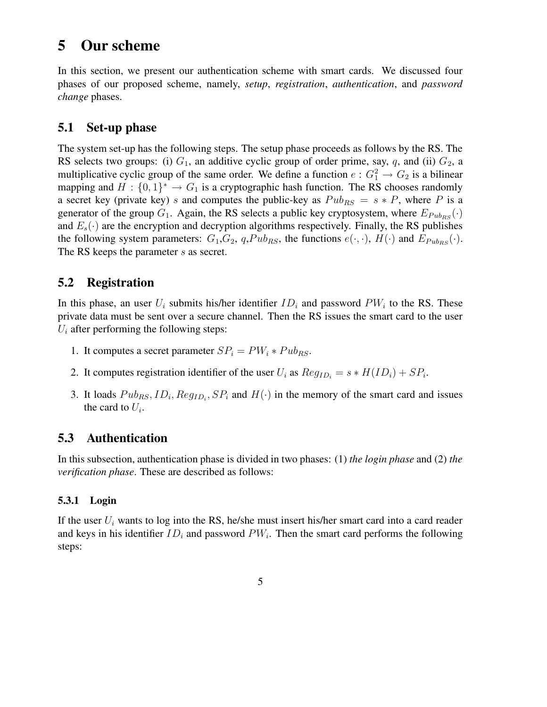## **5 Our scheme**

In this section, we present our authentication scheme with smart cards. We discussed four phases of our proposed scheme, namely, *setup*, *registration*, *authentication*, and *password change* phases.

#### **5.1 Set-up phase**

The system set-up has the following steps. The setup phase proceeds as follows by the RS. The RS selects two groups: (i)  $G_1$ , an additive cyclic group of order prime, say, q, and (ii)  $G_2$ , a multiplicative cyclic group of the same order. We define a function  $e: G_1^2 \to G_2$  is a bilinear mapping and  $H: \{0,1\}^* \to G_1$  is a cryptographic hash function. The RS chooses randomly a secret key (private key) s and computes the public-key as  $Pub_{RS} = s * P$ , where P is a generator of the group  $G_1$ . Again, the RS selects a public key cryptosystem, where  $E_{Pub_{BS}}(·)$ and  $E_s(\cdot)$  are the encryption and decryption algorithms respectively. Finally, the RS publishes the following system parameters:  $G_1, G_2, q, Pub_{RS}$ , the functions  $e(\cdot, \cdot)$ ,  $H(\cdot)$  and  $E_{Pub_{RS}}(\cdot)$ . The RS keeps the parameter s as secret.

### **5.2 Registration**

In this phase, an user  $U_i$  submits his/her identifier  $ID_i$  and password  $PW_i$  to the RS. These private data must be sent over a secure channel. Then the RS issues the smart card to the user  $U_i$  after performing the following steps:

- 1. It computes a secret parameter  $SP_i = PW_i * Pub_{RS}$ .
- 2. It computes registration identifier of the user  $U_i$  as  $Reg_{ID_i} = s * H(ID_i) + SP_i$ .
- 3. It loads  $Pub_{RS}, ID_i, Reg_{ID_i}, SP_i$  and  $H(·)$  in the memory of the smart card and issues the card to  $U_i$ .

### **5.3 Authentication**

In this subsection, authentication phase is divided in two phases: (1) *the login phase* and (2) *the verification phase*. These are described as follows:

#### **5.3.1 Login**

If the user  $U_i$  wants to log into the RS, he/she must insert his/her smart card into a card reader and keys in his identifier  $ID_i$  and password  $PW_i$ . Then the smart card performs the following steps: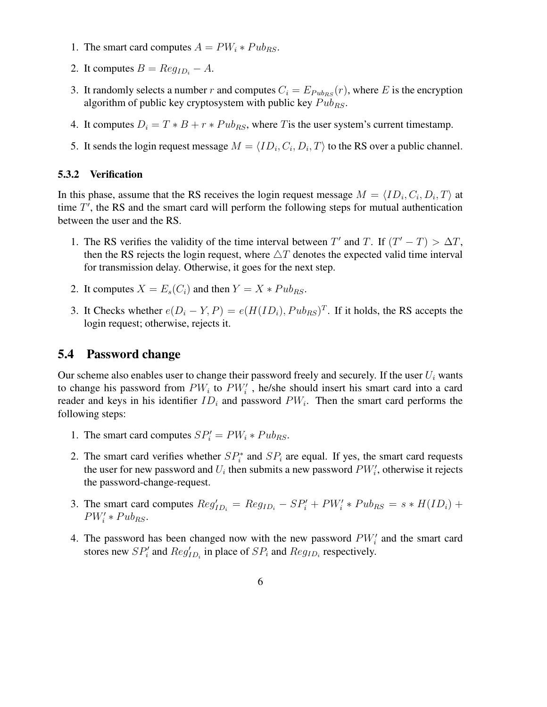- 1. The smart card computes  $A = PW_i * Pub_{RS}$ .
- 2. It computes  $B = Reg<sub>ID<sub>i</sub></sub> A$ .
- 3. It randomly selects a number r and computes  $C_i = E_{Pub_{RS}}(r)$ , where E is the encryption algorithm of public key cryptosystem with public key  $Pub_{RS}$ .
- 4. It computes  $D_i = T * B + r * P u b_{RS}$ , where T is the user system's current timestamp.
- 5. It sends the login request message  $M = \langle ID_i, C_i, D_i, T \rangle$  to the RS over a public channel.

#### **5.3.2 Verification**

In this phase, assume that the RS receives the login request message  $M = \langle ID_i, C_i, D_i, T \rangle$  at time  $T'$ , the RS and the smart card will perform the following steps for mutual authentication between the user and the RS.

- 1. The RS verifies the validity of the time interval between T' and T. If  $(T' T) > \Delta T$ , then the RS rejects the login request, where  $\triangle T$  denotes the expected valid time interval for transmission delay. Otherwise, it goes for the next step.
- 2. It computes  $X = E_s(C_i)$  and then  $Y = X * P u b_{RS}$ .
- 3. It Checks whether  $e(D_i Y, P) = e(H(ID_i), Pub_{RS})^T$ . If it holds, the RS accepts the login request; otherwise, rejects it.

#### **5.4 Password change**

Our scheme also enables user to change their password freely and securely. If the user  $U_i$  wants to change his password from  $PW_i$  to  $PW_i'$ , he/she should insert his smart card into a card reader and keys in his identifier  $ID_i$  and password  $PW_i$ . Then the smart card performs the following steps:

- 1. The smart card computes  $SP_i' = PW_i * Pub_{RS}$ .
- 2. The smart card verifies whether  $SP_i^*$  $S_i^*$  and  $SP_i$  are equal. If yes, the smart card requests the user for new password and  $U_i$  then submits a new password  $PW'_i$ , otherwise it rejects the password-change-request.
- 3. The smart card computes  $Reg'_{ID_i} = Reg_{ID_i} SP'_i + PW'_i * Pub_{RS} = s * H(ID_i) +$  $PW'_i * Pub_{RS}.$
- 4. The password has been changed now with the new password  $PW'_i$  and the smart card stores new  $SP_i'$  $P'_i$  and  $Reg'_{ID_i}$  in place of  $SP_i$  and  $Reg_{ID_i}$  respectively.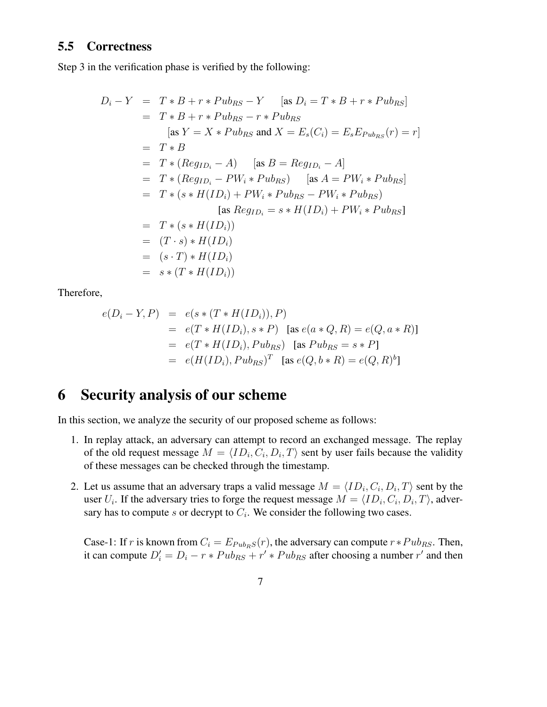#### **5.5 Correctness**

Step 3 in the verification phase is verified by the following:

$$
D_i - Y = T * B + r * Pub_{RS} - Y \quad \text{[as } D_i = T * B + r * Pub_{RS}\text{]}
$$
  
\n
$$
= T * B + r * Pub_{RS} - r * Pub_{RS}
$$
  
\n
$$
\text{[as } Y = X * Pub_{RS} \text{ and } X = E_s(C_i) = E_s E_{Pub_{RS}}(r) = r\text{]}
$$
  
\n
$$
= T * B
$$
  
\n
$$
= T * (Reg_{ID_i} - A) \quad \text{[as } B = Reg_{ID_i} - A\text{]}
$$
  
\n
$$
= T * (Reg_{ID_i} - PW_i * Pub_{RS}) \quad \text{[as } A = PW_i * Pub_{RS}\text{]}
$$
  
\n
$$
= T * (s * H(ID_i) + PW_i * Pub_{RS} - PW_i * Pub_{RS}\text{]}
$$
  
\n
$$
\text{[as } Reg_{ID_i} = s * H(ID_i) + PW_i * Pub_{RS}\text{]}
$$
  
\n
$$
= T * (s * H(ID_i))
$$
  
\n
$$
= (T \cdot s) * H(ID_i)
$$
  
\n
$$
= (s \cdot T) * H(ID_i)
$$
  
\n
$$
= s * (T * H(ID_i))
$$

Therefore,

$$
e(D_i - Y, P) = e(s * (T * H(ID_i)), P)
$$
  
=  $e(T * H(ID_i), s * P)$  [as  $e(a * Q, R) = e(Q, a * R)$ ]  
=  $e(T * H(ID_i), Pub_{RS})$  [as  $Pub_{RS} = s * P$ ]  
=  $e(H(ID_i), Pub_{RS})^T$  [as  $e(Q, b * R) = e(Q, R)^b$ ]

## **6 Security analysis of our scheme**

In this section, we analyze the security of our proposed scheme as follows:

- 1. In replay attack, an adversary can attempt to record an exchanged message. The replay of the old request message  $M = \langle ID_i, C_i, D_i, T \rangle$  sent by user fails because the validity of these messages can be checked through the timestamp.
- 2. Let us assume that an adversary traps a valid message  $M = \langle ID_i, C_i, D_i, T \rangle$  sent by the user  $U_i$ . If the adversary tries to forge the request message  $M = \langle ID_i, C_i, D_i, T \rangle$ , adversary has to compute  $s$  or decrypt to  $C_i$ . We consider the following two cases.

Case-1: If r is known from  $C_i = E_{Pub<sub>BS</sub>}(r)$ , the adversary can compute  $r *Pub<sub>RS</sub>$ . Then, it can compute  $D_i' = D_i - r * P u b_{RS} + r' * P u b_{RS}$  after choosing a number r' and then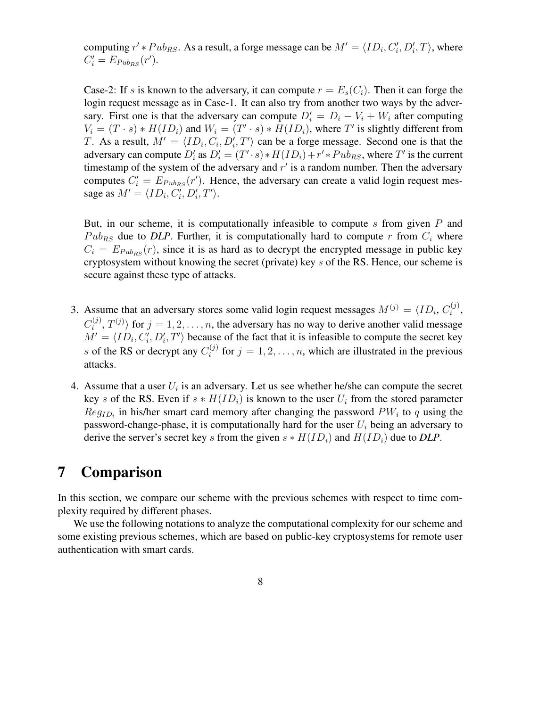computing  $r' * Pub_{RS}$ . As a result, a forge message can be  $M' = \langle ID_i, C'_i \rangle$  $\langle i, D_i', T \rangle$ , where  $C_i' = E_{Pub_{RS}}(r').$ 

Case-2: If s is known to the adversary, it can compute  $r = E_s(C_i)$ . Then it can forge the login request message as in Case-1. It can also try from another two ways by the adversary. First one is that the adversary can compute  $D_i' = D_i - V_i + W_i$  after computing  $V_i = (T \cdot s) * H(ID_i)$  and  $W_i = (T' \cdot s) * H(ID_i)$ , where T' is slightly different from T. As a result,  $M' = \langle ID_i, C_i, D'_i, T' \rangle$  can be a forge message. Second one is that the adversary can compute  $D'_i$  as  $D'_i = (T' \cdot s) * H(ID_i) + r' * Pub_{RS}$ , where T' is the current timestamp of the system of the adversary and  $r'$  is a random number. Then the adversary computes  $C_i' = E_{Pub_{RS}}(r')$ . Hence, the adversary can create a valid login request message as  $M' = \langle ID_i, C'_i \rangle$  $\tilde{p}_{i}^{\prime},D_{i}^{\prime},T^{\prime}\rangle.$ 

But, in our scheme, it is computationally infeasible to compute s from given  $P$  and  $Pub_{RS}$  due to *DLP*. Further, it is computationally hard to compute r from  $C_i$  where  $C_i = E_{Pub_{RS}}(r)$ , since it is as hard as to decrypt the encrypted message in public key cryptosystem without knowing the secret (private) key s of the RS. Hence, our scheme is secure against these type of attacks.

- 3. Assume that an adversary stores some valid login request messages  $M^{(j)} = \langle ID_i, C_i^{(j)} \rangle$  $\binom{j}{i}$  $C_i^{(j)}$  $\langle i^{(j)}, T^{(j)} \rangle$  for  $j = 1, 2, \dots, n$ , the adversary has no way to derive another valid message  $\dot{M'} = \langle \dot{ID_i}, \dot{C_i'}\rangle$  $\langle I_i', D_i', T' \rangle$  because of the fact that it is infeasible to compute the secret key s of the RS or decrypt any  $C_i^{(j)}$  $i^{(j)}$  for  $j = 1, 2, \ldots, n$ , which are illustrated in the previous attacks.
- 4. Assume that a user  $U_i$  is an adversary. Let us see whether he/she can compute the secret key s of the RS. Even if  $s * H(ID_i)$  is known to the user  $U_i$  from the stored parameter  $Reg<sub>ID<sub>i</sub></sub>$  in his/her smart card memory after changing the password  $PW<sub>i</sub>$  to q using the password-change-phase, it is computationally hard for the user  $U_i$  being an adversary to derive the server's secret key s from the given  $s * H(ID_i)$  and  $H(ID_i)$  due to *DLP*.

## **7 Comparison**

In this section, we compare our scheme with the previous schemes with respect to time complexity required by different phases.

We use the following notations to analyze the computational complexity for our scheme and some existing previous schemes, which are based on public-key cryptosystems for remote user authentication with smart cards.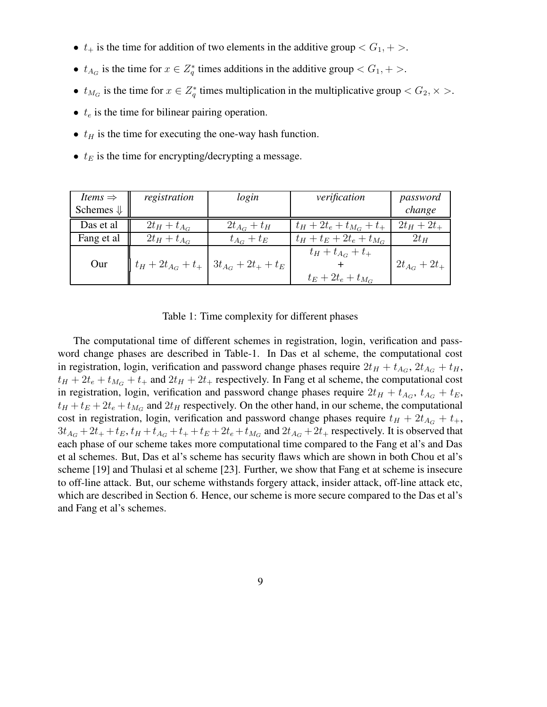- $t_+$  is the time for addition of two elements in the additive group  $\langle G_1, + \rangle$ .
- $t_{A_G}$  is the time for  $x \in Z_q^*$  $q^*$  times additions in the additive group  $\lt G_1, +\gt$ .
- $t_{M_G}$  is the time for  $x \in Z_q^*$  $q^*$  times multiplication in the multiplicative group  $\langle G_2, \times \rangle$ .
- $\bullet$   $t_e$  is the time for bilinear pairing operation.
- $t_H$  is the time for executing the one-way hash function.
- $t_E$  is the time for encrypting/decrypting a message.

| <i>Items</i> $\Rightarrow$ | registration               | login                   | verification                 | password          |
|----------------------------|----------------------------|-------------------------|------------------------------|-------------------|
| Schemes $\Downarrow$       |                            |                         |                              | change            |
| Das et al                  | $2t_H + t_{A_G}$           | $2t_{A_G}+t_H$          | $t_H + 2t_e + t_{M_G} + t_+$ | $2t_{H} + 2t_{+}$ |
| Fang et al                 | $2t_H + t_{A_G}$           | $t_{A_G}+t_E$           | $t_H + t_E + 2t_e + t_{M_G}$ | $2t_H$            |
| Our                        | $ t_H + 2t_{A_G} + t_{+} $ | $3t_{A_G} + 2t_+ + t_E$ | $t_H + t_{A_G} + t_+$        | $2t_{A_G} + 2t_+$ |
|                            |                            |                         | $t_E + 2t_e + t_{M_G}$       |                   |

Table 1: Time complexity for different phases

The computational time of different schemes in registration, login, verification and password change phases are described in Table-1. In Das et al scheme, the computational cost in registration, login, verification and password change phases require  $2t_H + t_{A_G}$ ,  $2t_{A_G} + t_H$ ,  $t_H + 2t_e + t_{M_G} + t_+$  and  $2t_H + 2t_+$  respectively. In Fang et al scheme, the computational cost in registration, login, verification and password change phases require  $2t_H + t_{A_G}$ ,  $t_{A_G} + t_E$ ,  $t_H + t_E + 2t_e + t_{M_G}$  and  $2t_H$  respectively. On the other hand, in our scheme, the computational cost in registration, login, verification and password change phases require  $t_H + 2t_{A_G} + t_{+}$ ,  $3t_{A_G} + 2t_+ + t_E$ ,  $t_H + t_{A_G} + t_+ + t_E + 2t_e + t_{M_G}$  and  $2t_{A_G} + 2t_+$  respectively. It is observed that each phase of our scheme takes more computational time compared to the Fang et al's and Das et al schemes. But, Das et al's scheme has security flaws which are shown in both Chou et al's scheme [19] and Thulasi et al scheme [23]. Further, we show that Fang et at scheme is insecure to off-line attack. But, our scheme withstands forgery attack, insider attack, off-line attack etc, which are described in Section 6. Hence, our scheme is more secure compared to the Das et al's and Fang et al's schemes.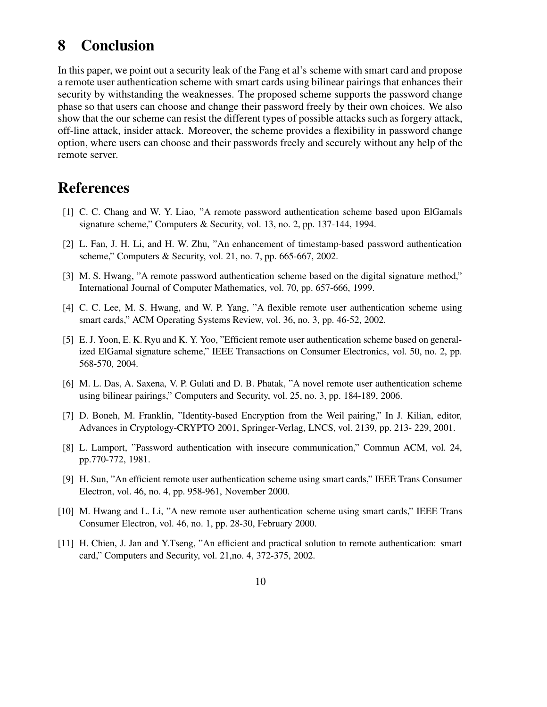### **8 Conclusion**

In this paper, we point out a security leak of the Fang et al's scheme with smart card and propose a remote user authentication scheme with smart cards using bilinear pairings that enhances their security by withstanding the weaknesses. The proposed scheme supports the password change phase so that users can choose and change their password freely by their own choices. We also show that the our scheme can resist the different types of possible attacks such as forgery attack, off-line attack, insider attack. Moreover, the scheme provides a flexibility in password change option, where users can choose and their passwords freely and securely without any help of the remote server.

## **References**

- [1] C. C. Chang and W. Y. Liao, "A remote password authentication scheme based upon ElGamals signature scheme," Computers & Security, vol. 13, no. 2, pp. 137-144, 1994.
- [2] L. Fan, J. H. Li, and H. W. Zhu, "An enhancement of timestamp-based password authentication scheme," Computers & Security, vol. 21, no. 7, pp. 665-667, 2002.
- [3] M. S. Hwang, "A remote password authentication scheme based on the digital signature method," International Journal of Computer Mathematics, vol. 70, pp. 657-666, 1999.
- [4] C. C. Lee, M. S. Hwang, and W. P. Yang, "A flexible remote user authentication scheme using smart cards," ACM Operating Systems Review, vol. 36, no. 3, pp. 46-52, 2002.
- [5] E.J. Yoon, E. K. Ryu and K. Y. Yoo, "Efficient remote user authentication scheme based on generalized ElGamal signature scheme," IEEE Transactions on Consumer Electronics, vol. 50, no. 2, pp. 568-570, 2004.
- [6] M. L. Das, A. Saxena, V. P. Gulati and D. B. Phatak, "A novel remote user authentication scheme using bilinear pairings," Computers and Security, vol. 25, no. 3, pp. 184-189, 2006.
- [7] D. Boneh, M. Franklin, "Identity-based Encryption from the Weil pairing," In J. Kilian, editor, Advances in Cryptology-CRYPTO 2001, Springer-Verlag, LNCS, vol. 2139, pp. 213- 229, 2001.
- [8] L. Lamport, "Password authentication with insecure communication," Commun ACM, vol. 24, pp.770-772, 1981.
- [9] H. Sun, "An efficient remote user authentication scheme using smart cards," IEEE Trans Consumer Electron, vol. 46, no. 4, pp. 958-961, November 2000.
- [10] M. Hwang and L. Li, "A new remote user authentication scheme using smart cards," IEEE Trans Consumer Electron, vol. 46, no. 1, pp. 28-30, February 2000.
- [11] H. Chien, J. Jan and Y.Tseng, "An efficient and practical solution to remote authentication: smart card," Computers and Security, vol. 21,no. 4, 372-375, 2002.